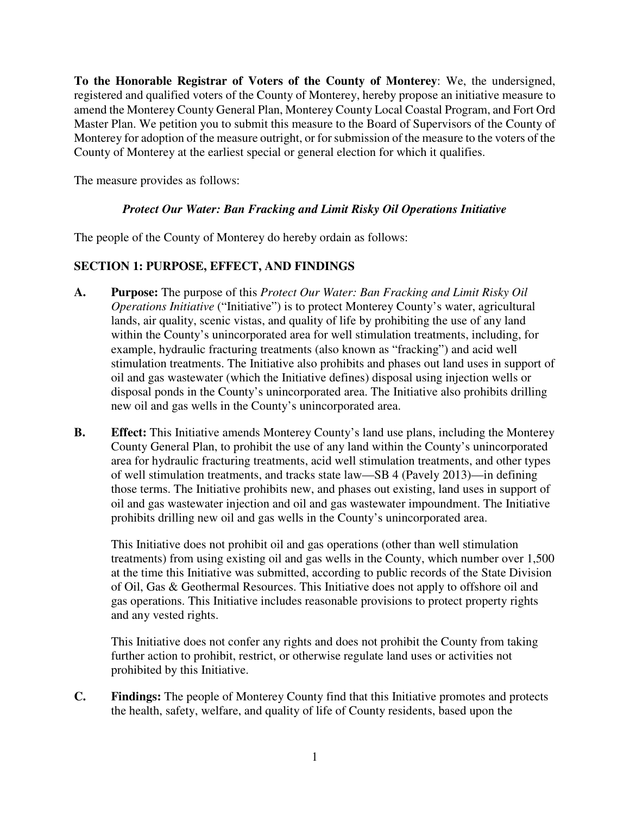**To the Honorable Registrar of Voters of the County of Monterey**: We, the undersigned, registered and qualified voters of the County of Monterey, hereby propose an initiative measure to amend the Monterey County General Plan, Monterey County Local Coastal Program, and Fort Ord Master Plan. We petition you to submit this measure to the Board of Supervisors of the County of Monterey for adoption of the measure outright, or for submission of the measure to the voters of the County of Monterey at the earliest special or general election for which it qualifies.

The measure provides as follows:

## *Protect Our Water: Ban Fracking and Limit Risky Oil Operations Initiative*

The people of the County of Monterey do hereby ordain as follows:

# **SECTION 1: PURPOSE, EFFECT, AND FINDINGS**

- **A. Purpose:** The purpose of this *Protect Our Water: Ban Fracking and Limit Risky Oil Operations Initiative* ("Initiative") is to protect Monterey County's water, agricultural lands, air quality, scenic vistas, and quality of life by prohibiting the use of any land within the County's unincorporated area for well stimulation treatments, including, for example, hydraulic fracturing treatments (also known as "fracking") and acid well stimulation treatments. The Initiative also prohibits and phases out land uses in support of oil and gas wastewater (which the Initiative defines) disposal using injection wells or disposal ponds in the County's unincorporated area. The Initiative also prohibits drilling new oil and gas wells in the County's unincorporated area.
- **B. Effect:** This Initiative amends Monterey County's land use plans, including the Monterey County General Plan, to prohibit the use of any land within the County's unincorporated area for hydraulic fracturing treatments, acid well stimulation treatments, and other types of well stimulation treatments, and tracks state law—SB 4 (Pavely 2013)—in defining those terms. The Initiative prohibits new, and phases out existing, land uses in support of oil and gas wastewater injection and oil and gas wastewater impoundment. The Initiative prohibits drilling new oil and gas wells in the County's unincorporated area.

This Initiative does not prohibit oil and gas operations (other than well stimulation treatments) from using existing oil and gas wells in the County, which number over 1,500 at the time this Initiative was submitted, according to public records of the State Division of Oil, Gas & Geothermal Resources. This Initiative does not apply to offshore oil and gas operations. This Initiative includes reasonable provisions to protect property rights and any vested rights.

This Initiative does not confer any rights and does not prohibit the County from taking further action to prohibit, restrict, or otherwise regulate land uses or activities not prohibited by this Initiative.

**C. Findings:** The people of Monterey County find that this Initiative promotes and protects the health, safety, welfare, and quality of life of County residents, based upon the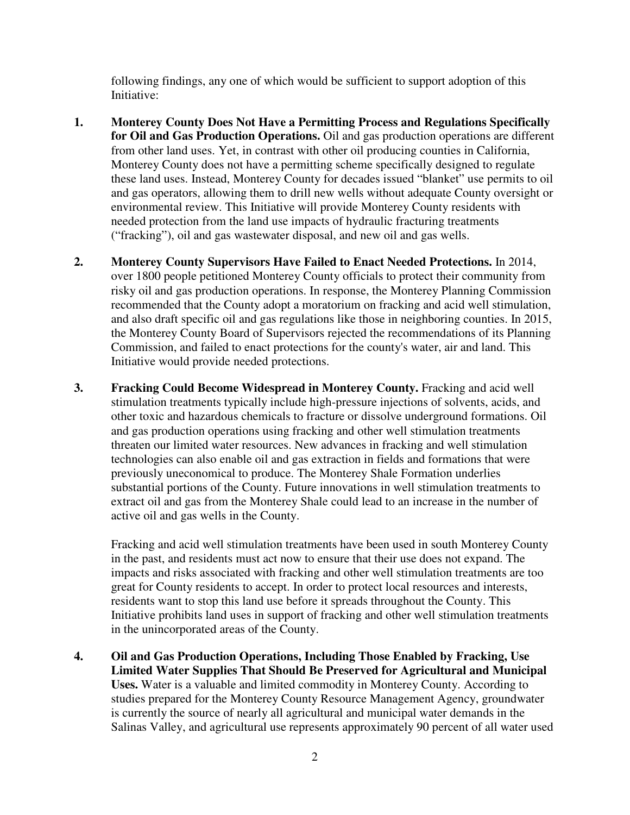following findings, any one of which would be sufficient to support adoption of this Initiative:

- **1. Monterey County Does Not Have a Permitting Process and Regulations Specifically for Oil and Gas Production Operations.** Oil and gas production operations are different from other land uses. Yet, in contrast with other oil producing counties in California, Monterey County does not have a permitting scheme specifically designed to regulate these land uses. Instead, Monterey County for decades issued "blanket" use permits to oil and gas operators, allowing them to drill new wells without adequate County oversight or environmental review. This Initiative will provide Monterey County residents with needed protection from the land use impacts of hydraulic fracturing treatments ("fracking"), oil and gas wastewater disposal, and new oil and gas wells.
- **2. Monterey County Supervisors Have Failed to Enact Needed Protections.** In 2014, over 1800 people petitioned Monterey County officials to protect their community from risky oil and gas production operations. In response, the Monterey Planning Commission recommended that the County adopt a moratorium on fracking and acid well stimulation, and also draft specific oil and gas regulations like those in neighboring counties. In 2015, the Monterey County Board of Supervisors rejected the recommendations of its Planning Commission, and failed to enact protections for the county's water, air and land. This Initiative would provide needed protections.
- **3. Fracking Could Become Widespread in Monterey County.** Fracking and acid well stimulation treatments typically include high-pressure injections of solvents, acids, and other toxic and hazardous chemicals to fracture or dissolve underground formations. Oil and gas production operations using fracking and other well stimulation treatments threaten our limited water resources. New advances in fracking and well stimulation technologies can also enable oil and gas extraction in fields and formations that were previously uneconomical to produce. The Monterey Shale Formation underlies substantial portions of the County. Future innovations in well stimulation treatments to extract oil and gas from the Monterey Shale could lead to an increase in the number of active oil and gas wells in the County.

Fracking and acid well stimulation treatments have been used in south Monterey County in the past, and residents must act now to ensure that their use does not expand. The impacts and risks associated with fracking and other well stimulation treatments are too great for County residents to accept. In order to protect local resources and interests, residents want to stop this land use before it spreads throughout the County. This Initiative prohibits land uses in support of fracking and other well stimulation treatments in the unincorporated areas of the County.

**4. Oil and Gas Production Operations, Including Those Enabled by Fracking, Use Limited Water Supplies That Should Be Preserved for Agricultural and Municipal Uses.** Water is a valuable and limited commodity in Monterey County. According to studies prepared for the Monterey County Resource Management Agency, groundwater is currently the source of nearly all agricultural and municipal water demands in the Salinas Valley, and agricultural use represents approximately 90 percent of all water used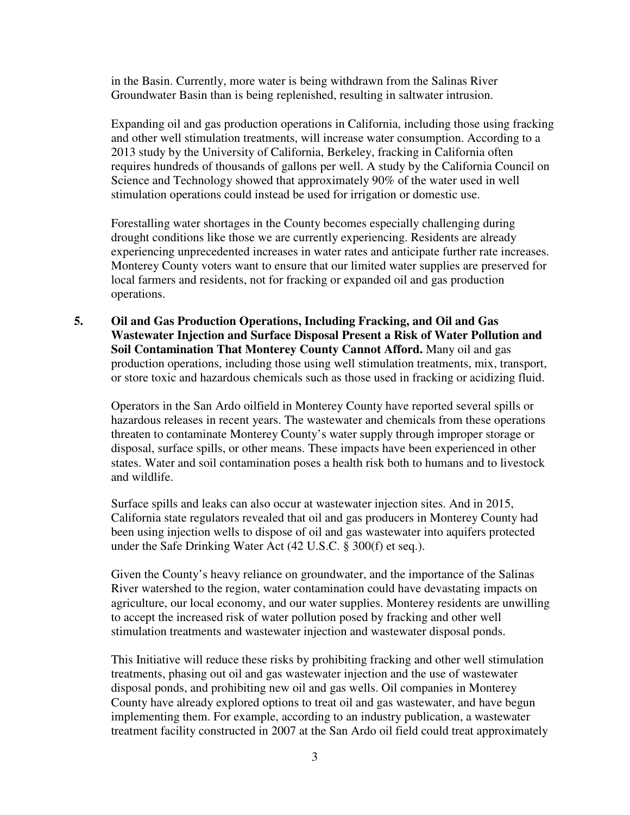in the Basin. Currently, more water is being withdrawn from the Salinas River Groundwater Basin than is being replenished, resulting in saltwater intrusion.

Expanding oil and gas production operations in California, including those using fracking and other well stimulation treatments, will increase water consumption. According to a 2013 study by the University of California, Berkeley, fracking in California often requires hundreds of thousands of gallons per well. A study by the California Council on Science and Technology showed that approximately 90% of the water used in well stimulation operations could instead be used for irrigation or domestic use.

Forestalling water shortages in the County becomes especially challenging during drought conditions like those we are currently experiencing. Residents are already experiencing unprecedented increases in water rates and anticipate further rate increases. Monterey County voters want to ensure that our limited water supplies are preserved for local farmers and residents, not for fracking or expanded oil and gas production operations.

**5. Oil and Gas Production Operations, Including Fracking, and Oil and Gas Wastewater Injection and Surface Disposal Present a Risk of Water Pollution and Soil Contamination That Monterey County Cannot Afford.** Many oil and gas production operations, including those using well stimulation treatments, mix, transport, or store toxic and hazardous chemicals such as those used in fracking or acidizing fluid.

Operators in the San Ardo oilfield in Monterey County have reported several spills or hazardous releases in recent years. The wastewater and chemicals from these operations threaten to contaminate Monterey County's water supply through improper storage or disposal, surface spills, or other means. These impacts have been experienced in other states. Water and soil contamination poses a health risk both to humans and to livestock and wildlife.

Surface spills and leaks can also occur at wastewater injection sites. And in 2015, California state regulators revealed that oil and gas producers in Monterey County had been using injection wells to dispose of oil and gas wastewater into aquifers protected under the Safe Drinking Water Act (42 U.S.C. § 300(f) et seq.).

Given the County's heavy reliance on groundwater, and the importance of the Salinas River watershed to the region, water contamination could have devastating impacts on agriculture, our local economy, and our water supplies. Monterey residents are unwilling to accept the increased risk of water pollution posed by fracking and other well stimulation treatments and wastewater injection and wastewater disposal ponds.

This Initiative will reduce these risks by prohibiting fracking and other well stimulation treatments, phasing out oil and gas wastewater injection and the use of wastewater disposal ponds, and prohibiting new oil and gas wells. Oil companies in Monterey County have already explored options to treat oil and gas wastewater, and have begun implementing them. For example, according to an industry publication, a wastewater treatment facility constructed in 2007 at the San Ardo oil field could treat approximately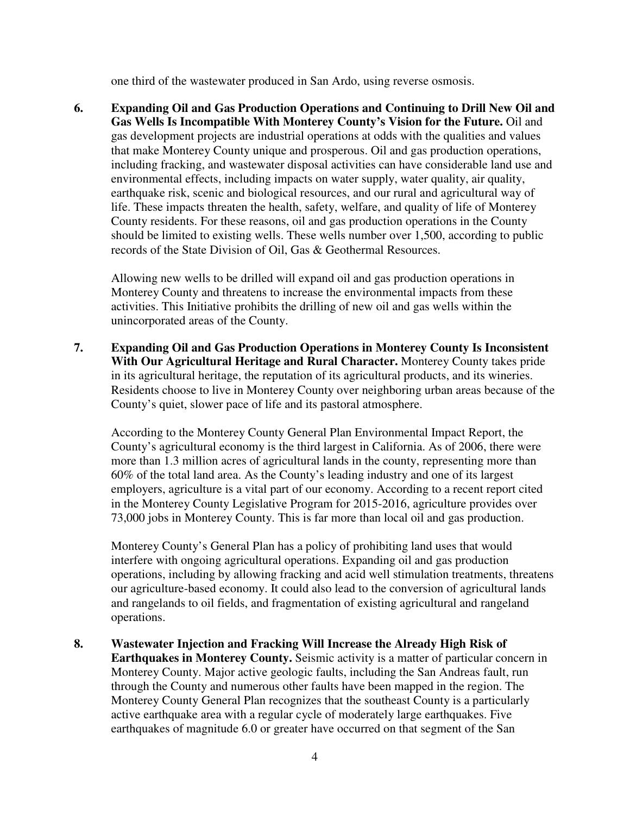one third of the wastewater produced in San Ardo, using reverse osmosis.

**6. Expanding Oil and Gas Production Operations and Continuing to Drill New Oil and Gas Wells Is Incompatible With Monterey County's Vision for the Future.** Oil and gas development projects are industrial operations at odds with the qualities and values that make Monterey County unique and prosperous. Oil and gas production operations, including fracking, and wastewater disposal activities can have considerable land use and environmental effects, including impacts on water supply, water quality, air quality, earthquake risk, scenic and biological resources, and our rural and agricultural way of life. These impacts threaten the health, safety, welfare, and quality of life of Monterey County residents. For these reasons, oil and gas production operations in the County should be limited to existing wells. These wells number over 1,500, according to public records of the State Division of Oil, Gas & Geothermal Resources.

Allowing new wells to be drilled will expand oil and gas production operations in Monterey County and threatens to increase the environmental impacts from these activities. This Initiative prohibits the drilling of new oil and gas wells within the unincorporated areas of the County.

**7. Expanding Oil and Gas Production Operations in Monterey County Is Inconsistent With Our Agricultural Heritage and Rural Character.** Monterey County takes pride in its agricultural heritage, the reputation of its agricultural products, and its wineries. Residents choose to live in Monterey County over neighboring urban areas because of the County's quiet, slower pace of life and its pastoral atmosphere.

According to the Monterey County General Plan Environmental Impact Report, the County's agricultural economy is the third largest in California. As of 2006, there were more than 1.3 million acres of agricultural lands in the county, representing more than 60% of the total land area. As the County's leading industry and one of its largest employers, agriculture is a vital part of our economy. According to a recent report cited in the Monterey County Legislative Program for 2015-2016, agriculture provides over 73,000 jobs in Monterey County. This is far more than local oil and gas production.

Monterey County's General Plan has a policy of prohibiting land uses that would interfere with ongoing agricultural operations. Expanding oil and gas production operations, including by allowing fracking and acid well stimulation treatments, threatens our agriculture-based economy. It could also lead to the conversion of agricultural lands and rangelands to oil fields, and fragmentation of existing agricultural and rangeland operations.

**8. Wastewater Injection and Fracking Will Increase the Already High Risk of Earthquakes in Monterey County.** Seismic activity is a matter of particular concern in Monterey County. Major active geologic faults, including the San Andreas fault, run through the County and numerous other faults have been mapped in the region. The Monterey County General Plan recognizes that the southeast County is a particularly active earthquake area with a regular cycle of moderately large earthquakes. Five earthquakes of magnitude 6.0 or greater have occurred on that segment of the San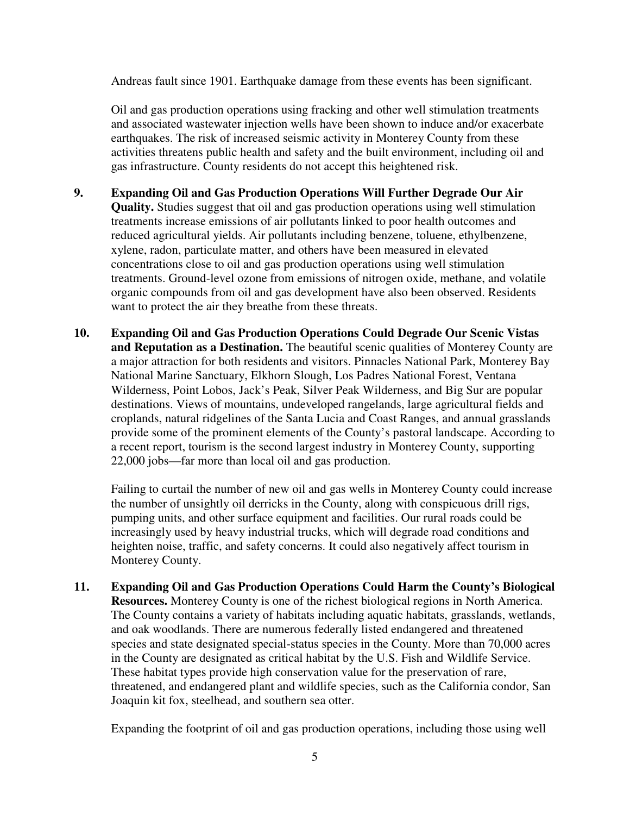Andreas fault since 1901. Earthquake damage from these events has been significant.

Oil and gas production operations using fracking and other well stimulation treatments and associated wastewater injection wells have been shown to induce and/or exacerbate earthquakes. The risk of increased seismic activity in Monterey County from these activities threatens public health and safety and the built environment, including oil and gas infrastructure. County residents do not accept this heightened risk.

- **9. Expanding Oil and Gas Production Operations Will Further Degrade Our Air Quality.** Studies suggest that oil and gas production operations using well stimulation treatments increase emissions of air pollutants linked to poor health outcomes and reduced agricultural yields. Air pollutants including benzene, toluene, ethylbenzene, xylene, radon, particulate matter, and others have been measured in elevated concentrations close to oil and gas production operations using well stimulation treatments. Ground-level ozone from emissions of nitrogen oxide, methane, and volatile organic compounds from oil and gas development have also been observed. Residents want to protect the air they breathe from these threats.
- **10. Expanding Oil and Gas Production Operations Could Degrade Our Scenic Vistas and Reputation as a Destination.** The beautiful scenic qualities of Monterey County are a major attraction for both residents and visitors. Pinnacles National Park, Monterey Bay National Marine Sanctuary, Elkhorn Slough, Los Padres National Forest, Ventana Wilderness, Point Lobos, Jack's Peak, Silver Peak Wilderness, and Big Sur are popular destinations. Views of mountains, undeveloped rangelands, large agricultural fields and croplands, natural ridgelines of the Santa Lucia and Coast Ranges, and annual grasslands provide some of the prominent elements of the County's pastoral landscape. According to a recent report, tourism is the second largest industry in Monterey County, supporting 22,000 jobs—far more than local oil and gas production.

Failing to curtail the number of new oil and gas wells in Monterey County could increase the number of unsightly oil derricks in the County, along with conspicuous drill rigs, pumping units, and other surface equipment and facilities. Our rural roads could be increasingly used by heavy industrial trucks, which will degrade road conditions and heighten noise, traffic, and safety concerns. It could also negatively affect tourism in Monterey County.

**11. Expanding Oil and Gas Production Operations Could Harm the County's Biological Resources.** Monterey County is one of the richest biological regions in North America. The County contains a variety of habitats including aquatic habitats, grasslands, wetlands, and oak woodlands. There are numerous federally listed endangered and threatened species and state designated special-status species in the County. More than 70,000 acres in the County are designated as critical habitat by the U.S. Fish and Wildlife Service. These habitat types provide high conservation value for the preservation of rare, threatened, and endangered plant and wildlife species, such as the California condor, San Joaquin kit fox, steelhead, and southern sea otter.

Expanding the footprint of oil and gas production operations, including those using well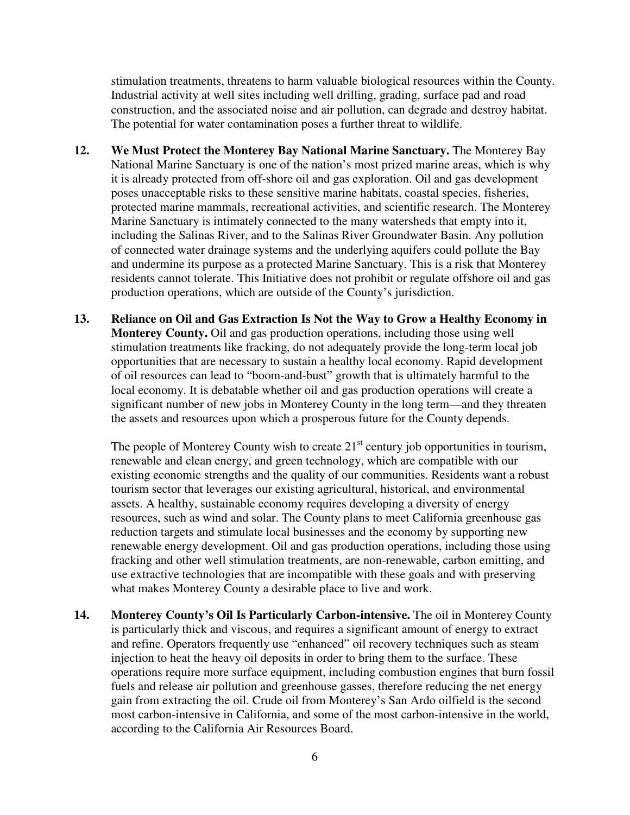stimulation treatments, threatens to harm valuable biological resources within the County. Industrial activity at well sites including well drilling, grading, surface pad and road construction, and the associated noise and air pollution, can degrade and destroy habitat. The potential for water contamination poses a further threat to wildlife.

- **12. We Must Protect the Monterey Bay National Marine Sanctuary.** The Monterey Bay National Marine Sanctuary is one of the nation's most prized marine areas, which is why it is already protected from off-shore oil and gas exploration. Oil and gas development poses unacceptable risks to these sensitive marine habitats, coastal species, fisheries, protected marine mammals, recreational activities, and scientific research. The Monterey Marine Sanctuary is intimately connected to the many watersheds that empty into it, including the Salinas River, and to the Salinas River Groundwater Basin. Any pollution of connected water drainage systems and the underlying aquifers could pollute the Bay and undermine its purpose as a protected Marine Sanctuary. This is a risk that Monterey residents cannot tolerate. This Initiative does not prohibit or regulate offshore oil and gas production operations, which are outside of the County's jurisdiction.
- **13. Reliance on Oil and Gas Extraction Is Not the Way to Grow a Healthy Economy in Monterey County.** Oil and gas production operations, including those using well stimulation treatments like fracking, do not adequately provide the long-term local job opportunities that are necessary to sustain a healthy local economy. Rapid development of oil resources can lead to "boom-and-bust" growth that is ultimately harmful to the local economy. It is debatable whether oil and gas production operations will create a significant number of new jobs in Monterey County in the long term—and they threaten the assets and resources upon which a prosperous future for the County depends.

The people of Monterey County wish to create  $21<sup>st</sup>$  century job opportunities in tourism, renewable and clean energy, and green technology, which are compatible with our existing economic strengths and the quality of our communities. Residents want a robust tourism sector that leverages our existing agricultural, historical, and environmental assets. A healthy, sustainable economy requires developing a diversity of energy resources, such as wind and solar. The County plans to meet California greenhouse gas reduction targets and stimulate local businesses and the economy by supporting new renewable energy development. Oil and gas production operations, including those using fracking and other well stimulation treatments, are non-renewable, carbon emitting, and use extractive technologies that are incompatible with these goals and with preserving what makes Monterey County a desirable place to live and work.

**14. Monterey County's Oil Is Particularly Carbon-intensive.** The oil in Monterey County is particularly thick and viscous, and requires a significant amount of energy to extract and refine. Operators frequently use "enhanced" oil recovery techniques such as steam injection to heat the heavy oil deposits in order to bring them to the surface. These operations require more surface equipment, including combustion engines that burn fossil fuels and release air pollution and greenhouse gasses, therefore reducing the net energy gain from extracting the oil. Crude oil from Monterey's San Ardo oilfield is the second most carbon-intensive in California, and some of the most carbon-intensive in the world, according to the California Air Resources Board.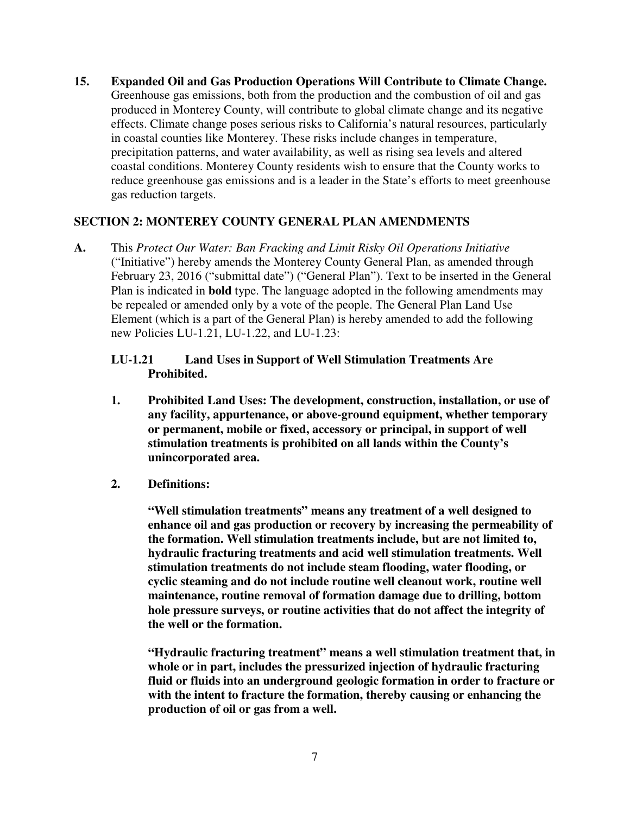**15. Expanded Oil and Gas Production Operations Will Contribute to Climate Change.**  Greenhouse gas emissions, both from the production and the combustion of oil and gas produced in Monterey County, will contribute to global climate change and its negative effects. Climate change poses serious risks to California's natural resources, particularly in coastal counties like Monterey. These risks include changes in temperature, precipitation patterns, and water availability, as well as rising sea levels and altered coastal conditions. Monterey County residents wish to ensure that the County works to reduce greenhouse gas emissions and is a leader in the State's efforts to meet greenhouse gas reduction targets.

## **SECTION 2: MONTEREY COUNTY GENERAL PLAN AMENDMENTS**

**A.** This *Protect Our Water: Ban Fracking and Limit Risky Oil Operations Initiative*  ("Initiative") hereby amends the Monterey County General Plan, as amended through February 23, 2016 ("submittal date") ("General Plan"). Text to be inserted in the General Plan is indicated in **bold** type. The language adopted in the following amendments may be repealed or amended only by a vote of the people. The General Plan Land Use Element (which is a part of the General Plan) is hereby amended to add the following new Policies LU-1.21, LU-1.22, and LU-1.23:

# **LU-1.21 Land Uses in Support of Well Stimulation Treatments Are Prohibited.**

- **1. Prohibited Land Uses: The development, construction, installation, or use of any facility, appurtenance, or above-ground equipment, whether temporary or permanent, mobile or fixed, accessory or principal, in support of well stimulation treatments is prohibited on all lands within the County's unincorporated area.**
- **2. Definitions:**

**"Well stimulation treatments" means any treatment of a well designed to enhance oil and gas production or recovery by increasing the permeability of the formation. Well stimulation treatments include, but are not limited to, hydraulic fracturing treatments and acid well stimulation treatments. Well stimulation treatments do not include steam flooding, water flooding, or cyclic steaming and do not include routine well cleanout work, routine well maintenance, routine removal of formation damage due to drilling, bottom hole pressure surveys, or routine activities that do not affect the integrity of the well or the formation.** 

**"Hydraulic fracturing treatment" means a well stimulation treatment that, in whole or in part, includes the pressurized injection of hydraulic fracturing fluid or fluids into an underground geologic formation in order to fracture or with the intent to fracture the formation, thereby causing or enhancing the production of oil or gas from a well.**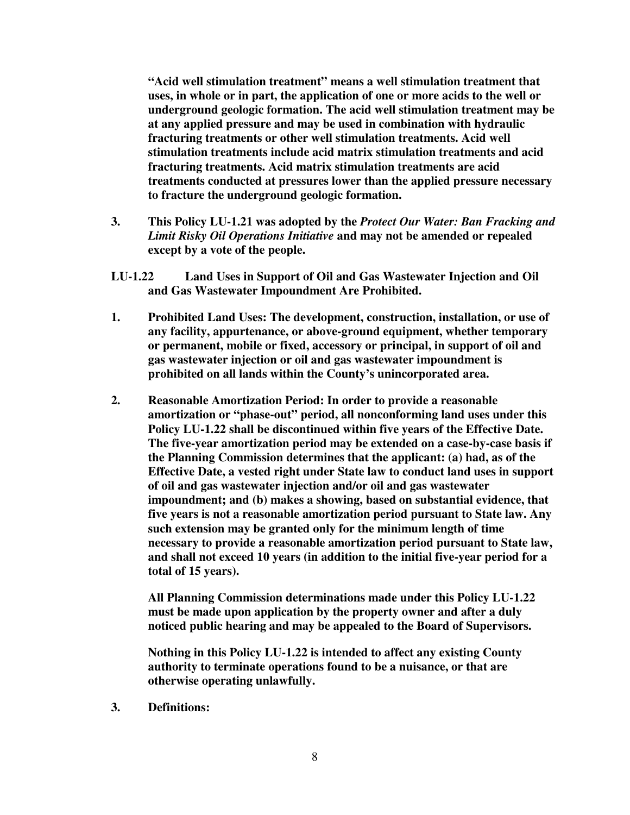**"Acid well stimulation treatment" means a well stimulation treatment that uses, in whole or in part, the application of one or more acids to the well or underground geologic formation. The acid well stimulation treatment may be at any applied pressure and may be used in combination with hydraulic fracturing treatments or other well stimulation treatments. Acid well stimulation treatments include acid matrix stimulation treatments and acid fracturing treatments. Acid matrix stimulation treatments are acid treatments conducted at pressures lower than the applied pressure necessary to fracture the underground geologic formation.** 

- **3. This Policy LU-1.21 was adopted by the** *Protect Our Water: Ban Fracking and Limit Risky Oil Operations Initiative* **and may not be amended or repealed except by a vote of the people.**
- **LU-1.22 Land Uses in Support of Oil and Gas Wastewater Injection and Oil and Gas Wastewater Impoundment Are Prohibited.**
- **1. Prohibited Land Uses: The development, construction, installation, or use of any facility, appurtenance, or above-ground equipment, whether temporary or permanent, mobile or fixed, accessory or principal, in support of oil and gas wastewater injection or oil and gas wastewater impoundment is prohibited on all lands within the County's unincorporated area.**
- **2. Reasonable Amortization Period: In order to provide a reasonable amortization or "phase-out" period, all nonconforming land uses under this Policy LU-1.22 shall be discontinued within five years of the Effective Date. The five-year amortization period may be extended on a case-by-case basis if the Planning Commission determines that the applicant: (a) had, as of the Effective Date, a vested right under State law to conduct land uses in support of oil and gas wastewater injection and/or oil and gas wastewater impoundment; and (b) makes a showing, based on substantial evidence, that five years is not a reasonable amortization period pursuant to State law. Any such extension may be granted only for the minimum length of time necessary to provide a reasonable amortization period pursuant to State law, and shall not exceed 10 years (in addition to the initial five-year period for a total of 15 years).**

 **All Planning Commission determinations made under this Policy LU-1.22 must be made upon application by the property owner and after a duly noticed public hearing and may be appealed to the Board of Supervisors.** 

 **Nothing in this Policy LU-1.22 is intended to affect any existing County authority to terminate operations found to be a nuisance, or that are otherwise operating unlawfully.** 

**3. Definitions:**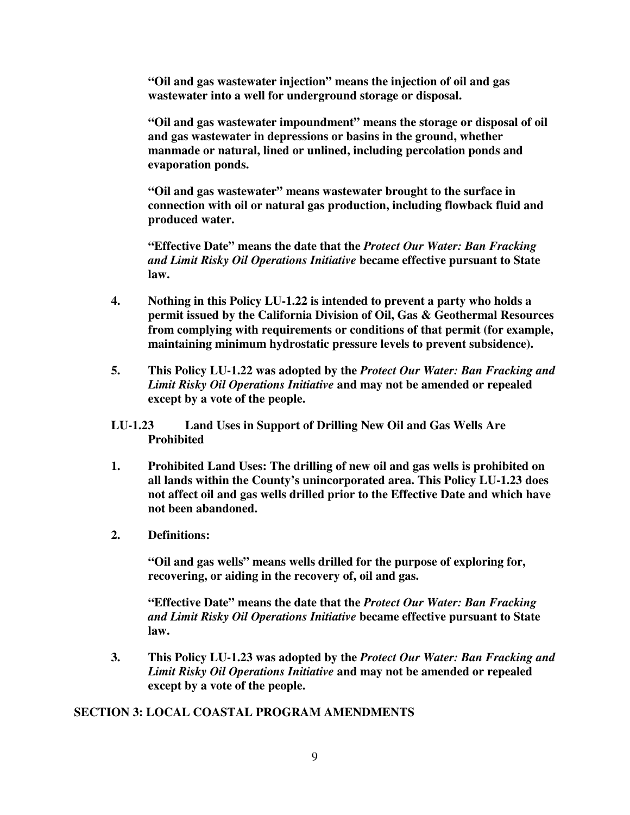**"Oil and gas wastewater injection" means the injection of oil and gas wastewater into a well for underground storage or disposal.** 

**"Oil and gas wastewater impoundment" means the storage or disposal of oil and gas wastewater in depressions or basins in the ground, whether manmade or natural, lined or unlined, including percolation ponds and evaporation ponds.** 

**"Oil and gas wastewater" means wastewater brought to the surface in connection with oil or natural gas production, including flowback fluid and produced water.** 

**"Effective Date" means the date that the** *Protect Our Water: Ban Fracking and Limit Risky Oil Operations Initiative* **became effective pursuant to State law.** 

- **4. Nothing in this Policy LU-1.22 is intended to prevent a party who holds a permit issued by the California Division of Oil, Gas & Geothermal Resources from complying with requirements or conditions of that permit (for example, maintaining minimum hydrostatic pressure levels to prevent subsidence).**
- **5. This Policy LU-1.22 was adopted by the** *Protect Our Water: Ban Fracking and Limit Risky Oil Operations Initiative* **and may not be amended or repealed except by a vote of the people.**
- **LU-1.23 Land Uses in Support of Drilling New Oil and Gas Wells Are Prohibited**
- **1. Prohibited Land Uses: The drilling of new oil and gas wells is prohibited on all lands within the County's unincorporated area. This Policy LU-1.23 does not affect oil and gas wells drilled prior to the Effective Date and which have not been abandoned.**
- **2. Definitions:**

**"Oil and gas wells" means wells drilled for the purpose of exploring for, recovering, or aiding in the recovery of, oil and gas.** 

**"Effective Date" means the date that the** *Protect Our Water: Ban Fracking and Limit Risky Oil Operations Initiative* **became effective pursuant to State law.** 

**3. This Policy LU-1.23 was adopted by the** *Protect Our Water: Ban Fracking and Limit Risky Oil Operations Initiative* **and may not be amended or repealed except by a vote of the people.** 

#### **SECTION 3: LOCAL COASTAL PROGRAM AMENDMENTS**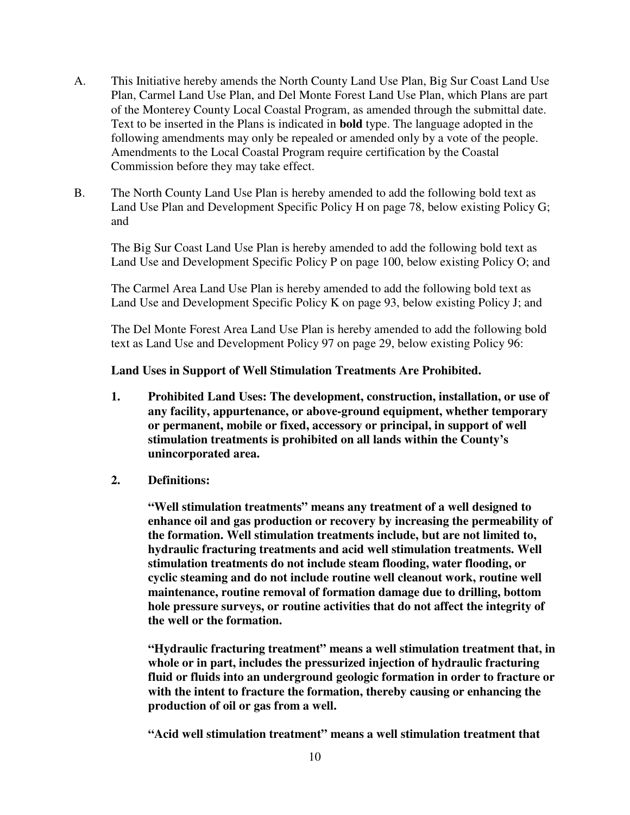- A. This Initiative hereby amends the North County Land Use Plan, Big Sur Coast Land Use Plan, Carmel Land Use Plan, and Del Monte Forest Land Use Plan, which Plans are part of the Monterey County Local Coastal Program, as amended through the submittal date. Text to be inserted in the Plans is indicated in **bold** type. The language adopted in the following amendments may only be repealed or amended only by a vote of the people. Amendments to the Local Coastal Program require certification by the Coastal Commission before they may take effect.
- B. The North County Land Use Plan is hereby amended to add the following bold text as Land Use Plan and Development Specific Policy H on page 78, below existing Policy G; and

The Big Sur Coast Land Use Plan is hereby amended to add the following bold text as Land Use and Development Specific Policy P on page 100, below existing Policy O; and

The Carmel Area Land Use Plan is hereby amended to add the following bold text as Land Use and Development Specific Policy K on page 93, below existing Policy J; and

The Del Monte Forest Area Land Use Plan is hereby amended to add the following bold text as Land Use and Development Policy 97 on page 29, below existing Policy 96:

## **Land Uses in Support of Well Stimulation Treatments Are Prohibited.**

- **1. Prohibited Land Uses: The development, construction, installation, or use of any facility, appurtenance, or above-ground equipment, whether temporary or permanent, mobile or fixed, accessory or principal, in support of well stimulation treatments is prohibited on all lands within the County's unincorporated area.**
- **2. Definitions:**

**"Well stimulation treatments" means any treatment of a well designed to enhance oil and gas production or recovery by increasing the permeability of the formation. Well stimulation treatments include, but are not limited to, hydraulic fracturing treatments and acid well stimulation treatments. Well stimulation treatments do not include steam flooding, water flooding, or cyclic steaming and do not include routine well cleanout work, routine well maintenance, routine removal of formation damage due to drilling, bottom hole pressure surveys, or routine activities that do not affect the integrity of the well or the formation.** 

**"Hydraulic fracturing treatment" means a well stimulation treatment that, in whole or in part, includes the pressurized injection of hydraulic fracturing fluid or fluids into an underground geologic formation in order to fracture or with the intent to fracture the formation, thereby causing or enhancing the production of oil or gas from a well.** 

**"Acid well stimulation treatment" means a well stimulation treatment that**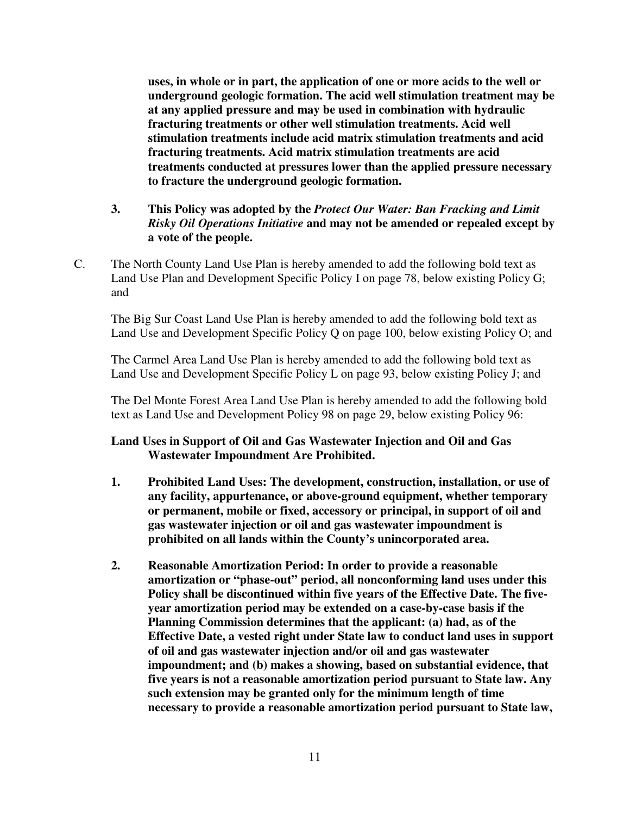**uses, in whole or in part, the application of one or more acids to the well or underground geologic formation. The acid well stimulation treatment may be at any applied pressure and may be used in combination with hydraulic fracturing treatments or other well stimulation treatments. Acid well stimulation treatments include acid matrix stimulation treatments and acid fracturing treatments. Acid matrix stimulation treatments are acid treatments conducted at pressures lower than the applied pressure necessary to fracture the underground geologic formation.** 

# **3. This Policy was adopted by the** *Protect Our Water: Ban Fracking and Limit Risky Oil Operations Initiative* **and may not be amended or repealed except by a vote of the people.**

C. The North County Land Use Plan is hereby amended to add the following bold text as Land Use Plan and Development Specific Policy I on page 78, below existing Policy G; and

The Big Sur Coast Land Use Plan is hereby amended to add the following bold text as Land Use and Development Specific Policy Q on page 100, below existing Policy O; and

The Carmel Area Land Use Plan is hereby amended to add the following bold text as Land Use and Development Specific Policy L on page 93, below existing Policy J; and

The Del Monte Forest Area Land Use Plan is hereby amended to add the following bold text as Land Use and Development Policy 98 on page 29, below existing Policy 96:

# **Land Uses in Support of Oil and Gas Wastewater Injection and Oil and Gas Wastewater Impoundment Are Prohibited.**

- **1. Prohibited Land Uses: The development, construction, installation, or use of any facility, appurtenance, or above-ground equipment, whether temporary or permanent, mobile or fixed, accessory or principal, in support of oil and gas wastewater injection or oil and gas wastewater impoundment is prohibited on all lands within the County's unincorporated area.**
- **2. Reasonable Amortization Period: In order to provide a reasonable amortization or "phase-out" period, all nonconforming land uses under this Policy shall be discontinued within five years of the Effective Date. The fiveyear amortization period may be extended on a case-by-case basis if the Planning Commission determines that the applicant: (a) had, as of the Effective Date, a vested right under State law to conduct land uses in support of oil and gas wastewater injection and/or oil and gas wastewater impoundment; and (b) makes a showing, based on substantial evidence, that five years is not a reasonable amortization period pursuant to State law. Any such extension may be granted only for the minimum length of time necessary to provide a reasonable amortization period pursuant to State law,**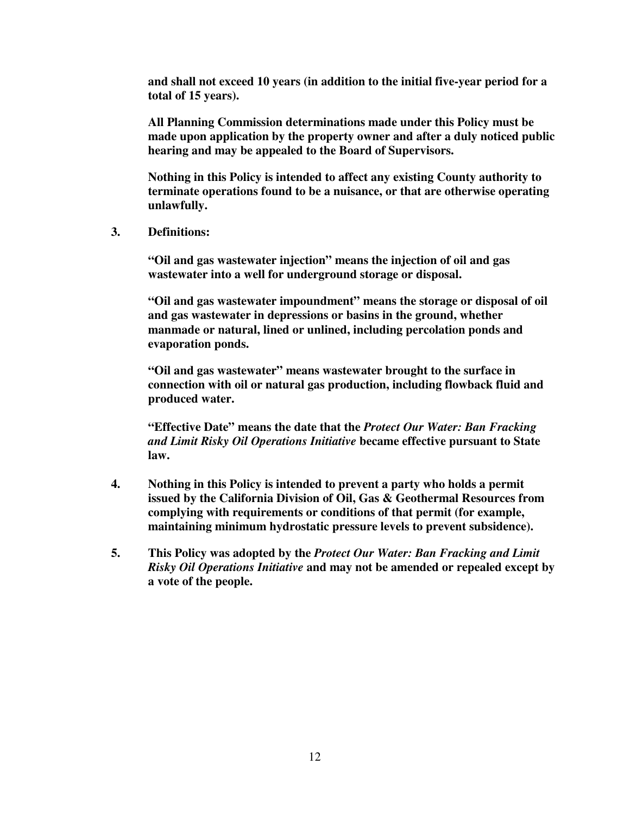**and shall not exceed 10 years (in addition to the initial five-year period for a total of 15 years).** 

 **All Planning Commission determinations made under this Policy must be made upon application by the property owner and after a duly noticed public hearing and may be appealed to the Board of Supervisors.** 

 **Nothing in this Policy is intended to affect any existing County authority to terminate operations found to be a nuisance, or that are otherwise operating unlawfully.** 

**3. Definitions:** 

**"Oil and gas wastewater injection" means the injection of oil and gas wastewater into a well for underground storage or disposal.** 

**"Oil and gas wastewater impoundment" means the storage or disposal of oil and gas wastewater in depressions or basins in the ground, whether manmade or natural, lined or unlined, including percolation ponds and evaporation ponds.** 

**"Oil and gas wastewater" means wastewater brought to the surface in connection with oil or natural gas production, including flowback fluid and produced water.** 

**"Effective Date" means the date that the** *Protect Our Water: Ban Fracking and Limit Risky Oil Operations Initiative* **became effective pursuant to State law.** 

- **4. Nothing in this Policy is intended to prevent a party who holds a permit issued by the California Division of Oil, Gas & Geothermal Resources from complying with requirements or conditions of that permit (for example, maintaining minimum hydrostatic pressure levels to prevent subsidence).**
- **5. This Policy was adopted by the** *Protect Our Water: Ban Fracking and Limit Risky Oil Operations Initiative* **and may not be amended or repealed except by a vote of the people.**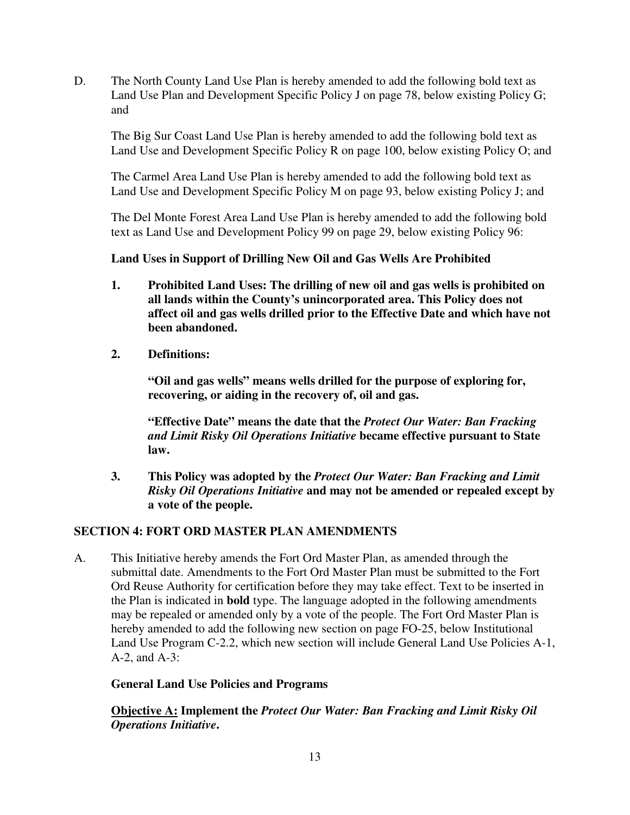D. The North County Land Use Plan is hereby amended to add the following bold text as Land Use Plan and Development Specific Policy J on page 78, below existing Policy G; and

The Big Sur Coast Land Use Plan is hereby amended to add the following bold text as Land Use and Development Specific Policy R on page 100, below existing Policy O; and

The Carmel Area Land Use Plan is hereby amended to add the following bold text as Land Use and Development Specific Policy M on page 93, below existing Policy J; and

The Del Monte Forest Area Land Use Plan is hereby amended to add the following bold text as Land Use and Development Policy 99 on page 29, below existing Policy 96:

## **Land Uses in Support of Drilling New Oil and Gas Wells Are Prohibited**

- **1. Prohibited Land Uses: The drilling of new oil and gas wells is prohibited on all lands within the County's unincorporated area. This Policy does not affect oil and gas wells drilled prior to the Effective Date and which have not been abandoned.**
- **2. Definitions:**

**"Oil and gas wells" means wells drilled for the purpose of exploring for, recovering, or aiding in the recovery of, oil and gas.** 

**"Effective Date" means the date that the** *Protect Our Water: Ban Fracking and Limit Risky Oil Operations Initiative* **became effective pursuant to State law.** 

**3. This Policy was adopted by the** *Protect Our Water: Ban Fracking and Limit Risky Oil Operations Initiative* **and may not be amended or repealed except by a vote of the people.** 

#### **SECTION 4: FORT ORD MASTER PLAN AMENDMENTS**

A. This Initiative hereby amends the Fort Ord Master Plan, as amended through the submittal date. Amendments to the Fort Ord Master Plan must be submitted to the Fort Ord Reuse Authority for certification before they may take effect. Text to be inserted in the Plan is indicated in **bold** type. The language adopted in the following amendments may be repealed or amended only by a vote of the people. The Fort Ord Master Plan is hereby amended to add the following new section on page FO-25, below Institutional Land Use Program C-2.2, which new section will include General Land Use Policies A-1, A-2, and A-3:

#### **General Land Use Policies and Programs**

**Objective A: Implement the** *Protect Our Water: Ban Fracking and Limit Risky Oil Operations Initiative***.**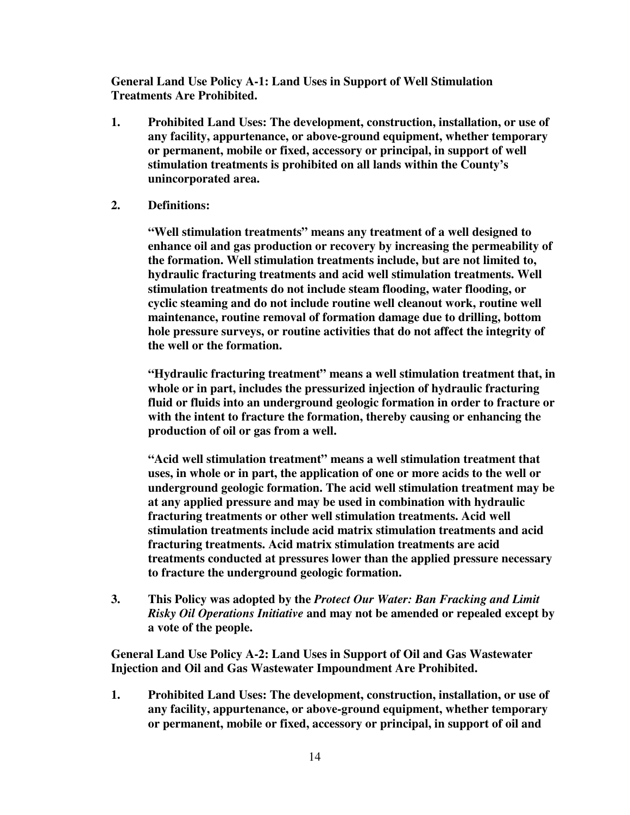**General Land Use Policy A-1: Land Uses in Support of Well Stimulation Treatments Are Prohibited.** 

- **1. Prohibited Land Uses: The development, construction, installation, or use of any facility, appurtenance, or above-ground equipment, whether temporary or permanent, mobile or fixed, accessory or principal, in support of well stimulation treatments is prohibited on all lands within the County's unincorporated area.**
- **2. Definitions:**

**"Well stimulation treatments" means any treatment of a well designed to enhance oil and gas production or recovery by increasing the permeability of the formation. Well stimulation treatments include, but are not limited to, hydraulic fracturing treatments and acid well stimulation treatments. Well stimulation treatments do not include steam flooding, water flooding, or cyclic steaming and do not include routine well cleanout work, routine well maintenance, routine removal of formation damage due to drilling, bottom hole pressure surveys, or routine activities that do not affect the integrity of the well or the formation.** 

**"Hydraulic fracturing treatment" means a well stimulation treatment that, in whole or in part, includes the pressurized injection of hydraulic fracturing fluid or fluids into an underground geologic formation in order to fracture or with the intent to fracture the formation, thereby causing or enhancing the production of oil or gas from a well.** 

**"Acid well stimulation treatment" means a well stimulation treatment that uses, in whole or in part, the application of one or more acids to the well or underground geologic formation. The acid well stimulation treatment may be at any applied pressure and may be used in combination with hydraulic fracturing treatments or other well stimulation treatments. Acid well stimulation treatments include acid matrix stimulation treatments and acid fracturing treatments. Acid matrix stimulation treatments are acid treatments conducted at pressures lower than the applied pressure necessary to fracture the underground geologic formation.** 

**3. This Policy was adopted by the** *Protect Our Water: Ban Fracking and Limit Risky Oil Operations Initiative* **and may not be amended or repealed except by a vote of the people.** 

**General Land Use Policy A-2: Land Uses in Support of Oil and Gas Wastewater Injection and Oil and Gas Wastewater Impoundment Are Prohibited.** 

**1. Prohibited Land Uses: The development, construction, installation, or use of any facility, appurtenance, or above-ground equipment, whether temporary or permanent, mobile or fixed, accessory or principal, in support of oil and**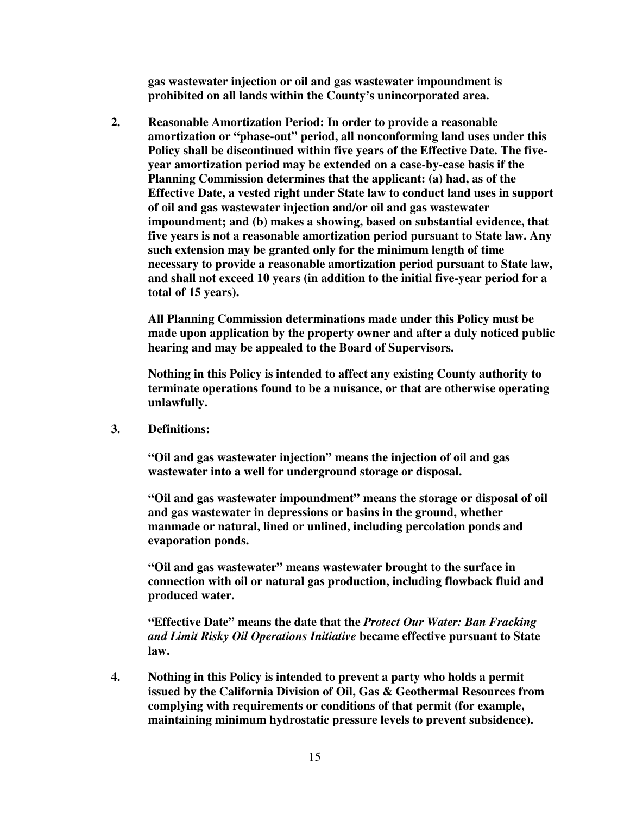**gas wastewater injection or oil and gas wastewater impoundment is prohibited on all lands within the County's unincorporated area.** 

**2. Reasonable Amortization Period: In order to provide a reasonable amortization or "phase-out" period, all nonconforming land uses under this Policy shall be discontinued within five years of the Effective Date. The fiveyear amortization period may be extended on a case-by-case basis if the Planning Commission determines that the applicant: (a) had, as of the Effective Date, a vested right under State law to conduct land uses in support of oil and gas wastewater injection and/or oil and gas wastewater impoundment; and (b) makes a showing, based on substantial evidence, that five years is not a reasonable amortization period pursuant to State law. Any such extension may be granted only for the minimum length of time necessary to provide a reasonable amortization period pursuant to State law, and shall not exceed 10 years (in addition to the initial five-year period for a total of 15 years).** 

 **All Planning Commission determinations made under this Policy must be made upon application by the property owner and after a duly noticed public hearing and may be appealed to the Board of Supervisors.** 

 **Nothing in this Policy is intended to affect any existing County authority to terminate operations found to be a nuisance, or that are otherwise operating unlawfully.** 

**3. Definitions:** 

**"Oil and gas wastewater injection" means the injection of oil and gas wastewater into a well for underground storage or disposal.** 

**"Oil and gas wastewater impoundment" means the storage or disposal of oil and gas wastewater in depressions or basins in the ground, whether manmade or natural, lined or unlined, including percolation ponds and evaporation ponds.** 

**"Oil and gas wastewater" means wastewater brought to the surface in connection with oil or natural gas production, including flowback fluid and produced water.** 

**"Effective Date" means the date that the** *Protect Our Water: Ban Fracking and Limit Risky Oil Operations Initiative* **became effective pursuant to State law.** 

**4. Nothing in this Policy is intended to prevent a party who holds a permit issued by the California Division of Oil, Gas & Geothermal Resources from complying with requirements or conditions of that permit (for example, maintaining minimum hydrostatic pressure levels to prevent subsidence).**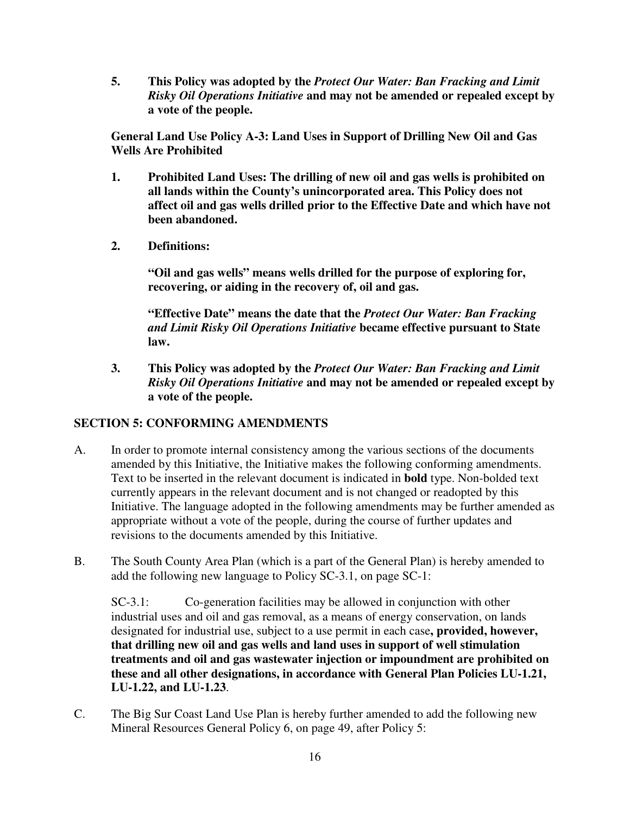**5. This Policy was adopted by the** *Protect Our Water: Ban Fracking and Limit Risky Oil Operations Initiative* **and may not be amended or repealed except by a vote of the people.** 

**General Land Use Policy A-3: Land Uses in Support of Drilling New Oil and Gas Wells Are Prohibited** 

- **1. Prohibited Land Uses: The drilling of new oil and gas wells is prohibited on all lands within the County's unincorporated area. This Policy does not affect oil and gas wells drilled prior to the Effective Date and which have not been abandoned.**
- **2. Definitions:**

**"Oil and gas wells" means wells drilled for the purpose of exploring for, recovering, or aiding in the recovery of, oil and gas.** 

**"Effective Date" means the date that the** *Protect Our Water: Ban Fracking and Limit Risky Oil Operations Initiative* **became effective pursuant to State law.** 

**3. This Policy was adopted by the** *Protect Our Water: Ban Fracking and Limit Risky Oil Operations Initiative* **and may not be amended or repealed except by a vote of the people.** 

# **SECTION 5: CONFORMING AMENDMENTS**

- A. In order to promote internal consistency among the various sections of the documents amended by this Initiative, the Initiative makes the following conforming amendments. Text to be inserted in the relevant document is indicated in **bold** type. Non-bolded text currently appears in the relevant document and is not changed or readopted by this Initiative. The language adopted in the following amendments may be further amended as appropriate without a vote of the people, during the course of further updates and revisions to the documents amended by this Initiative.
- B. The South County Area Plan (which is a part of the General Plan) is hereby amended to add the following new language to Policy SC-3.1, on page SC-1:

SC-3.1: Co-generation facilities may be allowed in conjunction with other industrial uses and oil and gas removal, as a means of energy conservation, on lands designated for industrial use, subject to a use permit in each case**, provided, however, that drilling new oil and gas wells and land uses in support of well stimulation treatments and oil and gas wastewater injection or impoundment are prohibited on these and all other designations, in accordance with General Plan Policies LU-1.21, LU-1.22, and LU-1.23**.

C. The Big Sur Coast Land Use Plan is hereby further amended to add the following new Mineral Resources General Policy 6, on page 49, after Policy 5: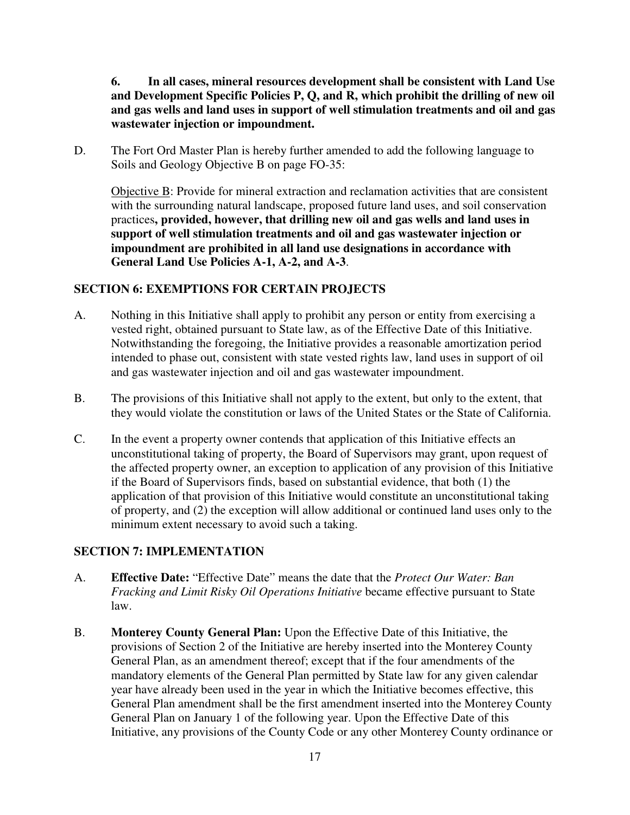**6. In all cases, mineral resources development shall be consistent with Land Use and Development Specific Policies P, Q, and R, which prohibit the drilling of new oil and gas wells and land uses in support of well stimulation treatments and oil and gas wastewater injection or impoundment.** 

D. The Fort Ord Master Plan is hereby further amended to add the following language to Soils and Geology Objective B on page FO-35:

Objective B: Provide for mineral extraction and reclamation activities that are consistent with the surrounding natural landscape, proposed future land uses, and soil conservation practices**, provided, however, that drilling new oil and gas wells and land uses in support of well stimulation treatments and oil and gas wastewater injection or impoundment are prohibited in all land use designations in accordance with General Land Use Policies A-1, A-2, and A-3**.

## **SECTION 6: EXEMPTIONS FOR CERTAIN PROJECTS**

- A. Nothing in this Initiative shall apply to prohibit any person or entity from exercising a vested right, obtained pursuant to State law, as of the Effective Date of this Initiative. Notwithstanding the foregoing, the Initiative provides a reasonable amortization period intended to phase out, consistent with state vested rights law, land uses in support of oil and gas wastewater injection and oil and gas wastewater impoundment.
- B. The provisions of this Initiative shall not apply to the extent, but only to the extent, that they would violate the constitution or laws of the United States or the State of California.
- C. In the event a property owner contends that application of this Initiative effects an unconstitutional taking of property, the Board of Supervisors may grant, upon request of the affected property owner, an exception to application of any provision of this Initiative if the Board of Supervisors finds, based on substantial evidence, that both (1) the application of that provision of this Initiative would constitute an unconstitutional taking of property, and (2) the exception will allow additional or continued land uses only to the minimum extent necessary to avoid such a taking.

# **SECTION 7: IMPLEMENTATION**

- A. **Effective Date:** "Effective Date" means the date that the *Protect Our Water: Ban Fracking and Limit Risky Oil Operations Initiative* became effective pursuant to State law.
- B. **Monterey County General Plan:** Upon the Effective Date of this Initiative, the provisions of Section 2 of the Initiative are hereby inserted into the Monterey County General Plan, as an amendment thereof; except that if the four amendments of the mandatory elements of the General Plan permitted by State law for any given calendar year have already been used in the year in which the Initiative becomes effective, this General Plan amendment shall be the first amendment inserted into the Monterey County General Plan on January 1 of the following year. Upon the Effective Date of this Initiative, any provisions of the County Code or any other Monterey County ordinance or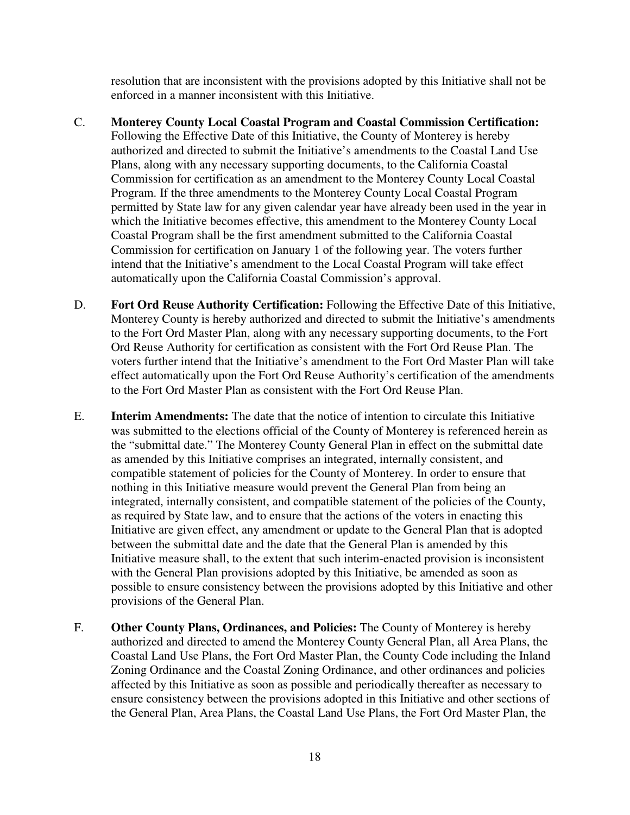resolution that are inconsistent with the provisions adopted by this Initiative shall not be enforced in a manner inconsistent with this Initiative.

- C. **Monterey County Local Coastal Program and Coastal Commission Certification:** Following the Effective Date of this Initiative, the County of Monterey is hereby authorized and directed to submit the Initiative's amendments to the Coastal Land Use Plans, along with any necessary supporting documents, to the California Coastal Commission for certification as an amendment to the Monterey County Local Coastal Program. If the three amendments to the Monterey County Local Coastal Program permitted by State law for any given calendar year have already been used in the year in which the Initiative becomes effective, this amendment to the Monterey County Local Coastal Program shall be the first amendment submitted to the California Coastal Commission for certification on January 1 of the following year. The voters further intend that the Initiative's amendment to the Local Coastal Program will take effect automatically upon the California Coastal Commission's approval.
- D. **Fort Ord Reuse Authority Certification:** Following the Effective Date of this Initiative, Monterey County is hereby authorized and directed to submit the Initiative's amendments to the Fort Ord Master Plan, along with any necessary supporting documents, to the Fort Ord Reuse Authority for certification as consistent with the Fort Ord Reuse Plan. The voters further intend that the Initiative's amendment to the Fort Ord Master Plan will take effect automatically upon the Fort Ord Reuse Authority's certification of the amendments to the Fort Ord Master Plan as consistent with the Fort Ord Reuse Plan.
- E. **Interim Amendments:** The date that the notice of intention to circulate this Initiative was submitted to the elections official of the County of Monterey is referenced herein as the "submittal date." The Monterey County General Plan in effect on the submittal date as amended by this Initiative comprises an integrated, internally consistent, and compatible statement of policies for the County of Monterey. In order to ensure that nothing in this Initiative measure would prevent the General Plan from being an integrated, internally consistent, and compatible statement of the policies of the County, as required by State law, and to ensure that the actions of the voters in enacting this Initiative are given effect, any amendment or update to the General Plan that is adopted between the submittal date and the date that the General Plan is amended by this Initiative measure shall, to the extent that such interim-enacted provision is inconsistent with the General Plan provisions adopted by this Initiative, be amended as soon as possible to ensure consistency between the provisions adopted by this Initiative and other provisions of the General Plan.
- F. **Other County Plans, Ordinances, and Policies:** The County of Monterey is hereby authorized and directed to amend the Monterey County General Plan, all Area Plans, the Coastal Land Use Plans, the Fort Ord Master Plan, the County Code including the Inland Zoning Ordinance and the Coastal Zoning Ordinance, and other ordinances and policies affected by this Initiative as soon as possible and periodically thereafter as necessary to ensure consistency between the provisions adopted in this Initiative and other sections of the General Plan, Area Plans, the Coastal Land Use Plans, the Fort Ord Master Plan, the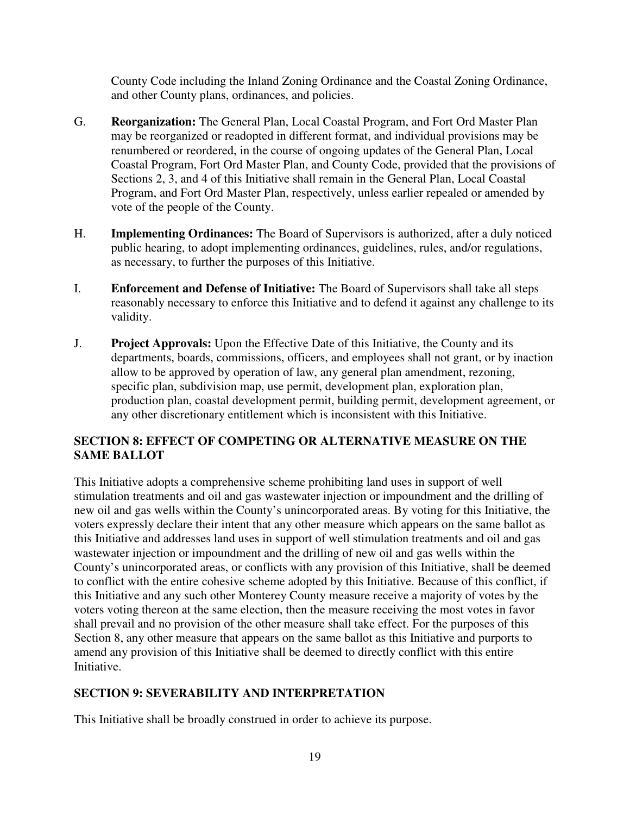County Code including the Inland Zoning Ordinance and the Coastal Zoning Ordinance, and other County plans, ordinances, and policies.

- G. **Reorganization:** The General Plan, Local Coastal Program, and Fort Ord Master Plan may be reorganized or readopted in different format, and individual provisions may be renumbered or reordered, in the course of ongoing updates of the General Plan, Local Coastal Program, Fort Ord Master Plan, and County Code, provided that the provisions of Sections 2, 3, and 4 of this Initiative shall remain in the General Plan, Local Coastal Program, and Fort Ord Master Plan, respectively, unless earlier repealed or amended by vote of the people of the County.
- H. **Implementing Ordinances:** The Board of Supervisors is authorized, after a duly noticed public hearing, to adopt implementing ordinances, guidelines, rules, and/or regulations, as necessary, to further the purposes of this Initiative.
- I. **Enforcement and Defense of Initiative:** The Board of Supervisors shall take all steps reasonably necessary to enforce this Initiative and to defend it against any challenge to its validity.
- J. **Project Approvals:** Upon the Effective Date of this Initiative, the County and its departments, boards, commissions, officers, and employees shall not grant, or by inaction allow to be approved by operation of law, any general plan amendment, rezoning, specific plan, subdivision map, use permit, development plan, exploration plan, production plan, coastal development permit, building permit, development agreement, or any other discretionary entitlement which is inconsistent with this Initiative.

# **SECTION 8: EFFECT OF COMPETING OR ALTERNATIVE MEASURE ON THE SAME BALLOT**

This Initiative adopts a comprehensive scheme prohibiting land uses in support of well stimulation treatments and oil and gas wastewater injection or impoundment and the drilling of new oil and gas wells within the County's unincorporated areas. By voting for this Initiative, the voters expressly declare their intent that any other measure which appears on the same ballot as this Initiative and addresses land uses in support of well stimulation treatments and oil and gas wastewater injection or impoundment and the drilling of new oil and gas wells within the County's unincorporated areas, or conflicts with any provision of this Initiative, shall be deemed to conflict with the entire cohesive scheme adopted by this Initiative. Because of this conflict, if this Initiative and any such other Monterey County measure receive a majority of votes by the voters voting thereon at the same election, then the measure receiving the most votes in favor shall prevail and no provision of the other measure shall take effect. For the purposes of this Section 8, any other measure that appears on the same ballot as this Initiative and purports to amend any provision of this Initiative shall be deemed to directly conflict with this entire Initiative.

# **SECTION 9: SEVERABILITY AND INTERPRETATION**

This Initiative shall be broadly construed in order to achieve its purpose.